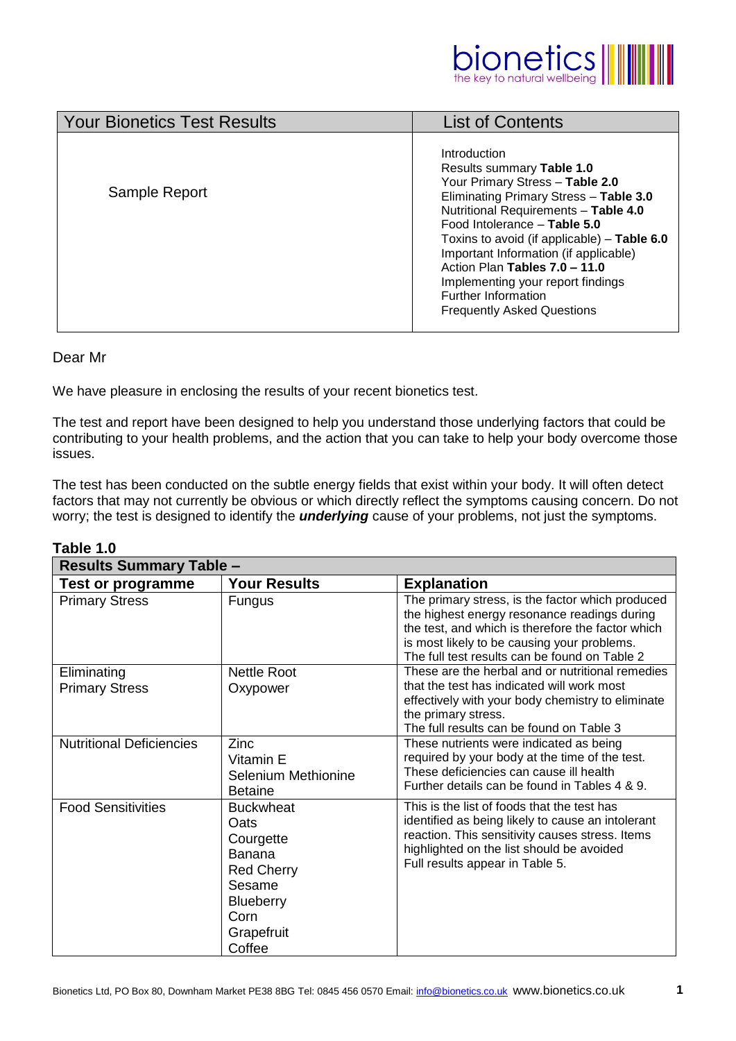

| <b>Your Bionetics Test Results</b> | <b>List of Contents</b>                                                                                                                                                                                                                                                                                                                                                                                                         |
|------------------------------------|---------------------------------------------------------------------------------------------------------------------------------------------------------------------------------------------------------------------------------------------------------------------------------------------------------------------------------------------------------------------------------------------------------------------------------|
| Sample Report                      | Introduction<br>Results summary Table 1.0<br>Your Primary Stress - Table 2.0<br>Eliminating Primary Stress - Table 3.0<br>Nutritional Requirements - Table 4.0<br>Food Intolerance - Table 5.0<br>Toxins to avoid (if applicable) - Table 6.0<br>Important Information (if applicable)<br>Action Plan Tables 7.0 - 11.0<br>Implementing your report findings<br><b>Further Information</b><br><b>Frequently Asked Questions</b> |
|                                    |                                                                                                                                                                                                                                                                                                                                                                                                                                 |

# Dear Mr

We have pleasure in enclosing the results of your recent bionetics test.

The test and report have been designed to help you understand those underlying factors that could be contributing to your health problems, and the action that you can take to help your body overcome those issues.

The test has been conducted on the subtle energy fields that exist within your body. It will often detect factors that may not currently be obvious or which directly reflect the symptoms causing concern. Do not worry; the test is designed to identify the *underlying* cause of your problems, not just the symptoms.

| <b>Results Summary Table -</b>       |                                                                                                                                           |                                                                                                                                                                                                                                                       |  |  |  |
|--------------------------------------|-------------------------------------------------------------------------------------------------------------------------------------------|-------------------------------------------------------------------------------------------------------------------------------------------------------------------------------------------------------------------------------------------------------|--|--|--|
| <b>Test or programme</b>             | <b>Your Results</b>                                                                                                                       | <b>Explanation</b>                                                                                                                                                                                                                                    |  |  |  |
| <b>Primary Stress</b>                | <b>Fungus</b>                                                                                                                             | The primary stress, is the factor which produced<br>the highest energy resonance readings during<br>the test, and which is therefore the factor which<br>is most likely to be causing your problems.<br>The full test results can be found on Table 2 |  |  |  |
| Eliminating<br><b>Primary Stress</b> | <b>Nettle Root</b><br>Oxypower                                                                                                            | These are the herbal and or nutritional remedies<br>that the test has indicated will work most<br>effectively with your body chemistry to eliminate<br>the primary stress.<br>The full results can be found on Table 3                                |  |  |  |
| <b>Nutritional Deficiencies</b>      | Zinc<br>Vitamin E<br>Selenium Methionine<br><b>Betaine</b>                                                                                | These nutrients were indicated as being<br>required by your body at the time of the test.<br>These deficiencies can cause ill health<br>Further details can be found in Tables 4 & 9.                                                                 |  |  |  |
| <b>Food Sensitivities</b>            | <b>Buckwheat</b><br>Oats<br>Courgette<br><b>Banana</b><br><b>Red Cherry</b><br>Sesame<br><b>Blueberry</b><br>Corn<br>Grapefruit<br>Coffee | This is the list of foods that the test has<br>identified as being likely to cause an intolerant<br>reaction. This sensitivity causes stress. Items<br>highlighted on the list should be avoided<br>Full results appear in Table 5.                   |  |  |  |

# **Table 1.0**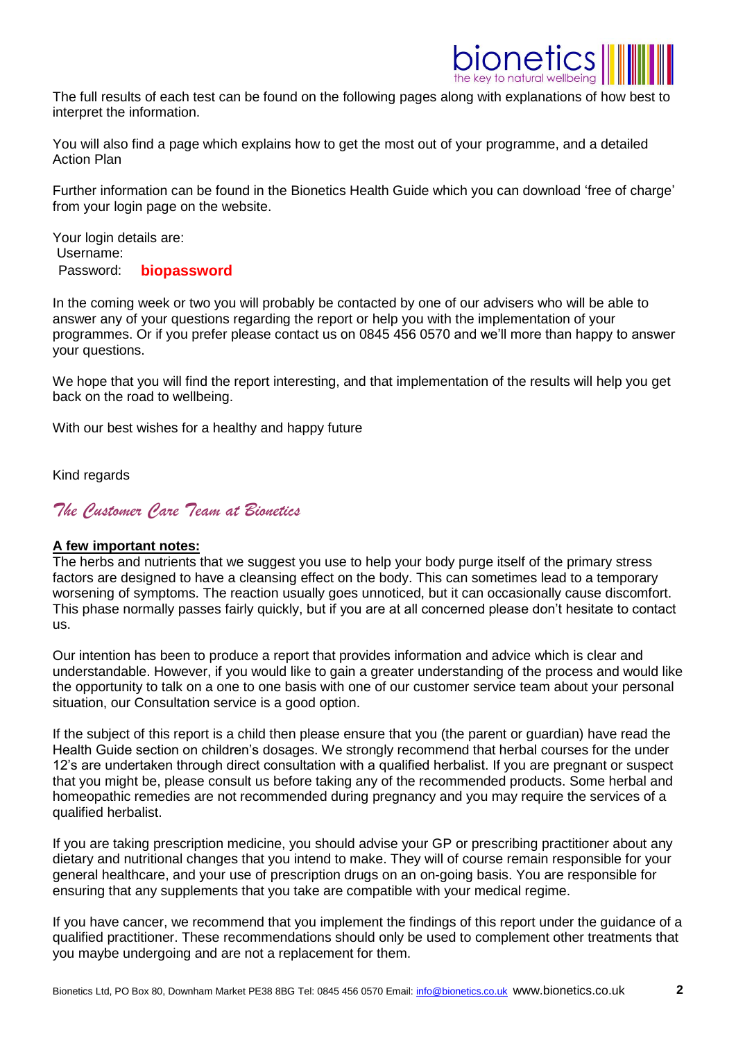

The full results of each test can be found on the following pages along with explanations of how best to interpret the information.

You will also find a page which explains how to get the most out of your programme, and a detailed Action Plan

Further information can be found in the Bionetics Health Guide which you can download 'free of charge' from your login page on the website.

Your login details are: Username: Password: **biopassword**

In the coming week or two you will probably be contacted by one of our advisers who will be able to answer any of your questions regarding the report or help you with the implementation of your programmes. Or if you prefer please contact us on 0845 456 0570 and we'll more than happy to answer your questions.

We hope that you will find the report interesting, and that implementation of the results will help you get back on the road to wellbeing.

With our best wishes for a healthy and happy future

Kind regards

*The Customer Care Team at Bionetics*

# **A few important notes:**

The herbs and nutrients that we suggest you use to help your body purge itself of the primary stress factors are designed to have a cleansing effect on the body. This can sometimes lead to a temporary worsening of symptoms. The reaction usually goes unnoticed, but it can occasionally cause discomfort. This phase normally passes fairly quickly, but if you are at all concerned please don't hesitate to contact us.

Our intention has been to produce a report that provides information and advice which is clear and understandable. However, if you would like to gain a greater understanding of the process and would like the opportunity to talk on a one to one basis with one of our customer service team about your personal situation, our Consultation service is a good option.

If the subject of this report is a child then please ensure that you (the parent or guardian) have read the Health Guide section on children's dosages. We strongly recommend that herbal courses for the under 12's are undertaken through direct consultation with a qualified herbalist. If you are pregnant or suspect that you might be, please consult us before taking any of the recommended products. Some herbal and homeopathic remedies are not recommended during pregnancy and you may require the services of a qualified herbalist.

If you are taking prescription medicine, you should advise your GP or prescribing practitioner about any dietary and nutritional changes that you intend to make. They will of course remain responsible for your general healthcare, and your use of prescription drugs on an on-going basis. You are responsible for ensuring that any supplements that you take are compatible with your medical regime.

If you have cancer, we recommend that you implement the findings of this report under the guidance of a qualified practitioner. These recommendations should only be used to complement other treatments that you maybe undergoing and are not a replacement for them.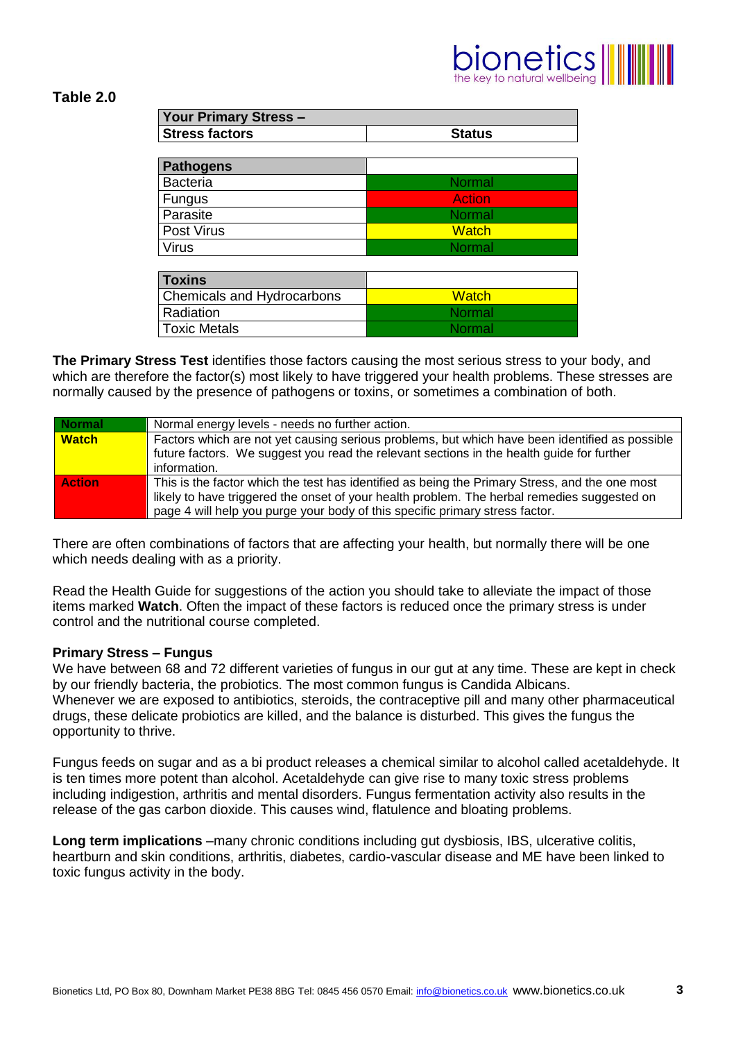# $\left|\text{one} \text{tics} \right|\right|$

# **Table 2.0**

| <b>Your Primary Stress -</b> |               |  |  |  |
|------------------------------|---------------|--|--|--|
| <b>Stress factors</b>        | <b>Status</b> |  |  |  |
|                              |               |  |  |  |
| <b>Pathogens</b>             |               |  |  |  |
| <b>Bacteria</b>              | <b>Normal</b> |  |  |  |
| Fungus                       | <b>Action</b> |  |  |  |
| Parasite                     | <b>Normal</b> |  |  |  |
| Post Virus                   | <b>Watch</b>  |  |  |  |
| <b>Virus</b>                 | <b>Normal</b> |  |  |  |

| <b>Toxins</b>              |               |
|----------------------------|---------------|
| Chemicals and Hydrocarbons | <b>Watch</b>  |
| l Radiation                | <b>Normal</b> |
| l Toxic Metals             | <b>Normal</b> |

**The Primary Stress Test** identifies those factors causing the most serious stress to your body, and which are therefore the factor(s) most likely to have triggered your health problems. These stresses are normally caused by the presence of pathogens or toxins, or sometimes a combination of both.

| <b>Normal</b> | Normal energy levels - needs no further action.                                                |
|---------------|------------------------------------------------------------------------------------------------|
| <b>Watch</b>  | Factors which are not yet causing serious problems, but which have been identified as possible |
|               | future factors. We suggest you read the relevant sections in the health guide for further      |
|               | information.                                                                                   |
| <b>Action</b> | This is the factor which the test has identified as being the Primary Stress, and the one most |
|               | likely to have triggered the onset of your health problem. The herbal remedies suggested on    |
|               | page 4 will help you purge your body of this specific primary stress factor.                   |

There are often combinations of factors that are affecting your health, but normally there will be one which needs dealing with as a priority.

Read the Health Guide for suggestions of the action you should take to alleviate the impact of those items marked **Watch**. Often the impact of these factors is reduced once the primary stress is under control and the nutritional course completed.

# **Primary Stress – Fungus**

We have between 68 and 72 different varieties of fungus in our gut at any time. These are kept in check by our friendly bacteria, the probiotics. The most common fungus is Candida Albicans. Whenever we are exposed to antibiotics, steroids, the contraceptive pill and many other pharmaceutical drugs, these delicate probiotics are killed, and the balance is disturbed. This gives the fungus the opportunity to thrive.

Fungus feeds on sugar and as a bi product releases a chemical similar to alcohol called acetaldehyde. It is ten times more potent than alcohol. Acetaldehyde can give rise to many toxic stress problems including indigestion, arthritis and mental disorders. Fungus fermentation activity also results in the release of the gas carbon dioxide. This causes wind, flatulence and bloating problems.

**Long term implications** –many chronic conditions including gut dysbiosis, IBS, ulcerative colitis, heartburn and skin conditions, arthritis, diabetes, cardio-vascular disease and ME have been linked to toxic fungus activity in the body.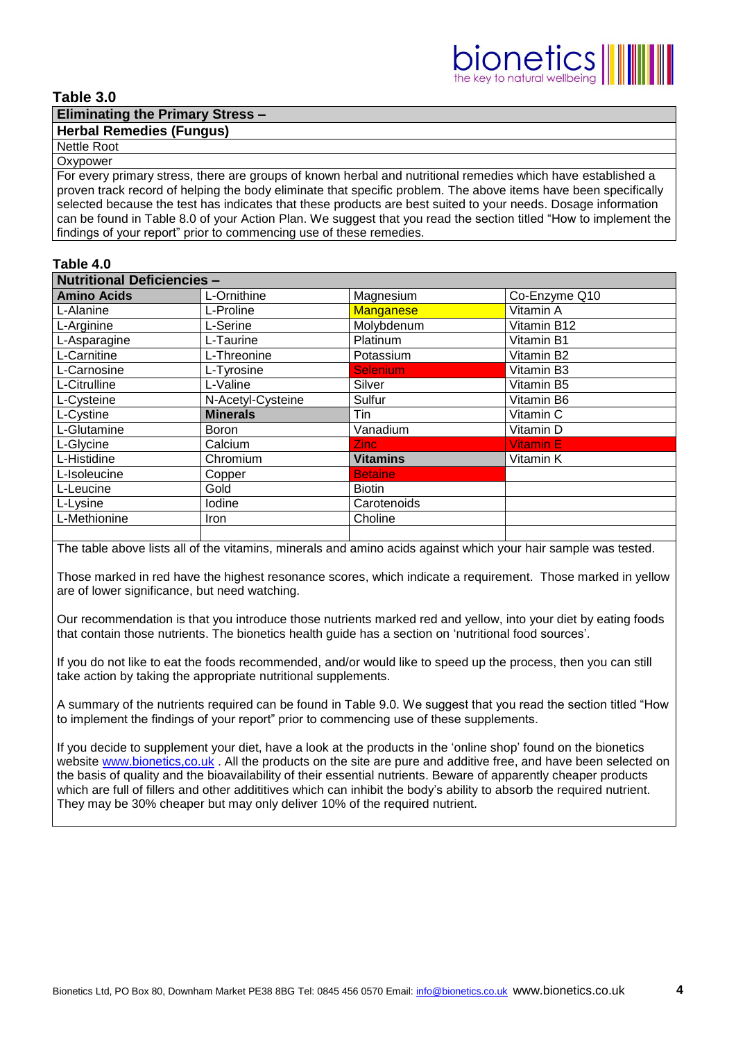# **Table 3.0**

# **Eliminating the Primary Stress –**

# **Herbal Remedies (Fungus)**

#### Nettle Root **Oxypower**

For every primary stress, there are groups of known herbal and nutritional remedies which have established a proven track record of helping the body eliminate that specific problem. The above items have been specifically selected because the test has indicates that these products are best suited to your needs. Dosage information can be found in Table 8.0 of your Action Plan. We suggest that you read the section titled "How to implement the findings of your report" prior to commencing use of these remedies.

### **Table 4.0**

| <b>Nutritional Deficiencies -</b> |                   |                  |                  |  |  |
|-----------------------------------|-------------------|------------------|------------------|--|--|
| <b>Amino Acids</b>                | L-Ornithine       | Magnesium        | Co-Enzyme Q10    |  |  |
| L-Alanine                         | L-Proline         | <b>Manganese</b> | Vitamin A        |  |  |
| L-Arginine                        | L-Serine          | Molybdenum       | Vitamin B12      |  |  |
| L-Asparagine                      | L-Taurine         | Platinum         | Vitamin B1       |  |  |
| L-Carnitine                       | L-Threonine       | Potassium        | Vitamin B2       |  |  |
| L-Carnosine                       | L-Tyrosine        | <b>Selenium</b>  | Vitamin B3       |  |  |
| L-Citrulline                      | L-Valine          | Silver           | Vitamin B5       |  |  |
| L-Cysteine                        | N-Acetyl-Cysteine | Sulfur           | Vitamin B6       |  |  |
| L-Cystine                         | <b>Minerals</b>   | Tin              | Vitamin C        |  |  |
| L-Glutamine                       | <b>Boron</b>      | Vanadium         | Vitamin D        |  |  |
| L-Glycine                         | Calcium           | Zinc:            | <b>Vitamin E</b> |  |  |
| L-Histidine                       | Chromium          | <b>Vitamins</b>  | Vitamin K        |  |  |
| L-Isoleucine                      | Copper            | <b>Betaine</b>   |                  |  |  |
| L-Leucine                         | Gold              | <b>Biotin</b>    |                  |  |  |
| L-Lysine                          | lodine            | Carotenoids      |                  |  |  |
| L-Methionine                      | <b>Iron</b>       | Choline          |                  |  |  |
|                                   |                   |                  |                  |  |  |

The table above lists all of the vitamins, minerals and amino acids against which your hair sample was tested.

Those marked in red have the highest resonance scores, which indicate a requirement. Those marked in yellow are of lower significance, but need watching.

Our recommendation is that you introduce those nutrients marked red and yellow, into your diet by eating foods that contain those nutrients. The bionetics health guide has a section on 'nutritional food sources'.

If you do not like to eat the foods recommended, and/or would like to speed up the process, then you can still take action by taking the appropriate nutritional supplements.

A summary of the nutrients required can be found in Table 9.0. We suggest that you read the section titled "How to implement the findings of your report" prior to commencing use of these supplements.

If you decide to supplement your diet, have a look at the products in the 'online shop' found on the bionetics website [www.bionetics,co.uk](http://www.bionetics,co.uk/). All the products on the site are pure and additive free, and have been selected on the basis of quality and the bioavailability of their essential nutrients. Beware of apparently cheaper products which are full of fillers and other addititives which can inhibit the body's ability to absorb the required nutrient. They may be 30% cheaper but may only deliver 10% of the required nutrient.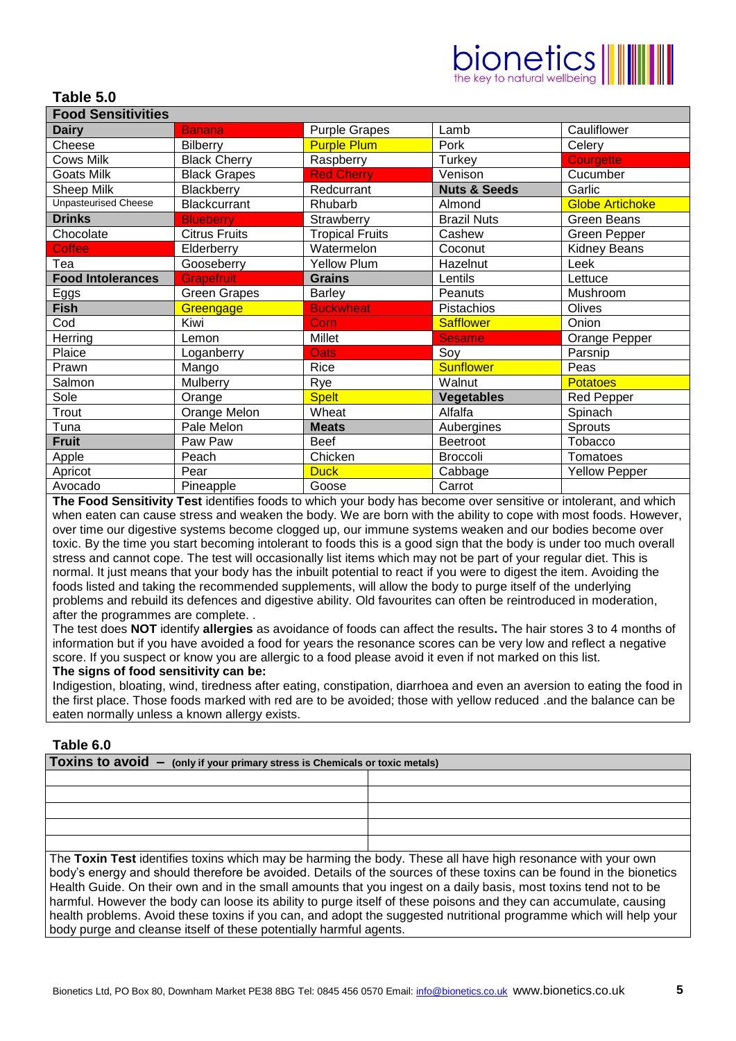# $ionetics  $\parallel$$

# **Table 5.0**

| <b>Food Sensitivities</b>   |                      |                        |                         |                        |
|-----------------------------|----------------------|------------------------|-------------------------|------------------------|
| <b>Dairy</b>                | <b>Banana</b>        | <b>Purple Grapes</b>   | Lamb                    | Cauliflower            |
| Cheese                      | <b>Bilberry</b>      | <b>Purple Plum</b>     | Pork                    | Celery                 |
| <b>Cows Milk</b>            | <b>Black Cherry</b>  | Raspberry              | Turkey                  | <b>Courgette</b>       |
| Goats Milk                  | <b>Black Grapes</b>  | <b>Red Cherry</b>      | Venison                 | Cucumber               |
| Sheep Milk                  | Blackberry           | Redcurrant             | <b>Nuts &amp; Seeds</b> | Garlic                 |
| <b>Unpasteurised Cheese</b> | <b>Blackcurrant</b>  | Rhubarb                | Almond                  | <b>Globe Artichoke</b> |
| <b>Drinks</b>               | <b>Blueberry</b>     | Strawberry             | <b>Brazil Nuts</b>      | <b>Green Beans</b>     |
| Chocolate                   | <b>Citrus Fruits</b> | <b>Tropical Fruits</b> | Cashew                  | <b>Green Pepper</b>    |
| <b>Coffee</b>               | Elderberry           | Watermelon             | Coconut                 | <b>Kidney Beans</b>    |
| Tea                         | Gooseberry           | <b>Yellow Plum</b>     | Hazelnut                | Leek                   |
| <b>Food Intolerances</b>    | <b>Grapefruit</b>    | <b>Grains</b>          | Lentils                 | Lettuce                |
| <u>Eggs</u>                 | <b>Green Grapes</b>  | <b>Barley</b>          | Peanuts                 | Mushroom               |
| <b>Fish</b>                 | Greengage            | <b>Buckwheat</b>       | Pistachios              | Olives                 |
| Cod                         | Kiwi                 | Corn                   | <b>Safflower</b>        | Onion                  |
| Herring                     | Lemon                | Millet                 | <b>Sesame</b>           | Orange Pepper          |
| Plaice                      | Loganberry           | <b>Oats</b>            | Soy                     | Parsnip                |
| Prawn                       | Mango                | Rice                   | <b>Sunflower</b>        | Peas                   |
| Salmon                      | Mulberry             | Rye                    | Walnut                  | <b>Potatoes</b>        |
| Sole                        | Orange               | <b>Spelt</b>           | <b>Vegetables</b>       | <b>Red Pepper</b>      |
| Trout                       | Orange Melon         | Wheat                  | Alfalfa                 | Spinach                |
| Tuna                        | Pale Melon           | <b>Meats</b>           | Aubergines              | Sprouts                |
| <b>Fruit</b>                | Paw Paw              | <b>Beef</b>            | <b>Beetroot</b>         | Tobacco                |
| Apple                       | Peach                | Chicken                | Broccoli                | Tomatoes               |
| Apricot                     | Pear                 | <b>Duck</b>            | Cabbage                 | <b>Yellow Pepper</b>   |
| Avocado                     | Pineapple            | Goose                  | Carrot                  |                        |

**The Food Sensitivity Test** identifies foods to which your body has become over sensitive or intolerant, and which when eaten can cause stress and weaken the body. We are born with the ability to cope with most foods. However, over time our digestive systems become clogged up, our immune systems weaken and our bodies become over toxic. By the time you start becoming intolerant to foods this is a good sign that the body is under too much overall stress and cannot cope. The test will occasionally list items which may not be part of your regular diet. This is normal. It just means that your body has the inbuilt potential to react if you were to digest the item. Avoiding the foods listed and taking the recommended supplements, will allow the body to purge itself of the underlying problems and rebuild its defences and digestive ability. Old favourites can often be reintroduced in moderation, after the programmes are complete. .

The test does **NOT** identify **allergies** as avoidance of foods can affect the results**.** The hair stores 3 to 4 months of information but if you have avoided a food for years the resonance scores can be very low and reflect a negative score. If you suspect or know you are allergic to a food please avoid it even if not marked on this list. **The signs of food sensitivity can be:**

Indigestion, bloating, wind, tiredness after eating, constipation, diarrhoea and even an aversion to eating the food in the first place. Those foods marked with red are to be avoided; those with yellow reduced .and the balance can be eaten normally unless a known allergy exists.

#### **Table 6.0**

| Toxins to $avoid - (only if your primary stress is Chemicals or toxic metals)$ |   |  |  |  |
|--------------------------------------------------------------------------------|---|--|--|--|
|                                                                                |   |  |  |  |
|                                                                                |   |  |  |  |
|                                                                                |   |  |  |  |
|                                                                                |   |  |  |  |
| $-$                                                                            | . |  |  |  |

The **Toxin Test** identifies toxins which may be harming the body. These all have high resonance with your own body's energy and should therefore be avoided. Details of the sources of these toxins can be found in the bionetics Health Guide. On their own and in the small amounts that you ingest on a daily basis, most toxins tend not to be harmful. However the body can loose its ability to purge itself of these poisons and they can accumulate, causing health problems. Avoid these toxins if you can, and adopt the suggested nutritional programme which will help your body purge and cleanse itself of these potentially harmful agents.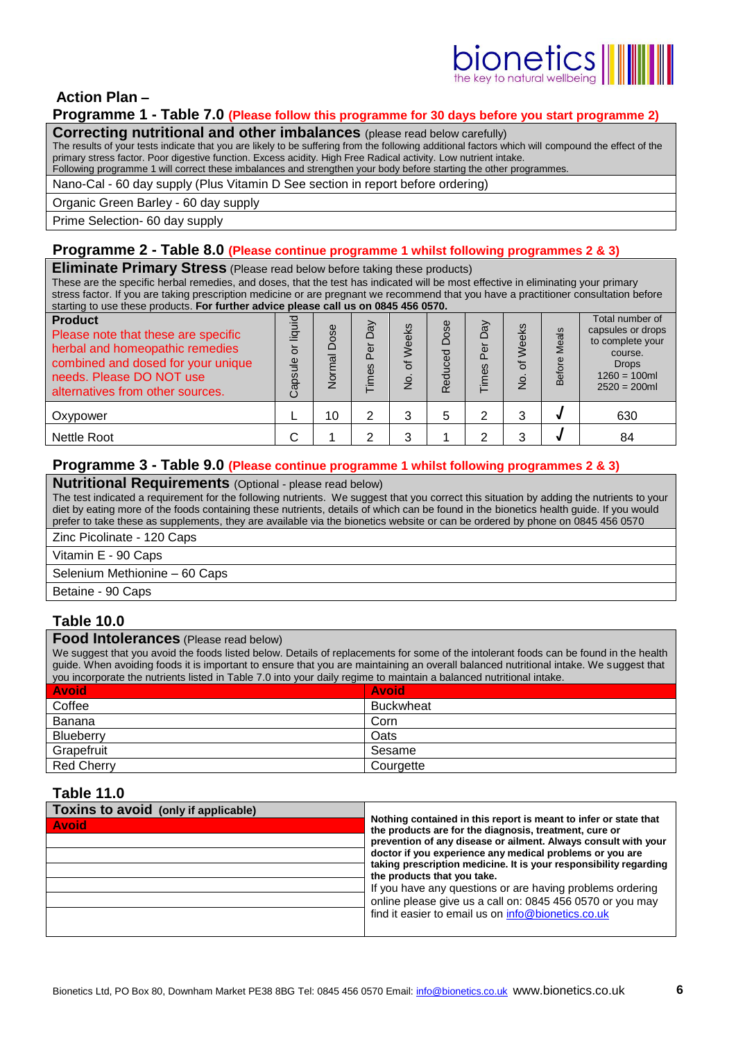# $\frac{1}{\text{long}}$

# **Action Plan –**

# **Programme 1 - Table 7.0 (Please follow this programme for 30 days before you start programme 2)**

**Correcting nutritional and other imbalances** (please read below carefully)

The results of your tests indicate that you are likely to be suffering from the following additional factors which will compound the effect of the primary stress factor. Poor digestive function. Excess acidity. High Free Radical activity. Low nutrient intake. Following programme 1 will correct these imbalances and strengthen your body before starting the other programmes.

Nano-Cal - 60 day supply (Plus Vitamin D See section in report before ordering)

Organic Green Barley - 60 day supply

Prime Selection- 60 day supply

# **Programme 2 - Table 8.0 (Please continue programme 1 whilst following programmes 2 & 3)**

# **Eliminate Primary Stress** (Please read below before taking these products)

These are the specific herbal remedies, and doses, that the test has indicated will be most effective in eliminating your primary stress factor. If you are taking prescription medicine or are pregnant we recommend that you have a practitioner consultation before starting to use these products. **For further advice please call us on 0845 456 0570.** 

| <b>Product</b><br>Please note that these are specific<br>herbal and homeopathic remedies<br>combined and dosed for your unique<br>needs. Please DO NOT use<br>alternatives from other sources. | liquid<br>៦<br>Capsule | Dose<br>Normal | VeQ<br>Per<br>Times | ks<br>Weel<br>৳<br>$\frac{1}{2}$ | Φ<br>Dos<br>ced<br>Red | VeQ<br>Per<br>Times | Weeks<br>৳<br>o<br>2 | als<br>ក<br>ቴ<br>ന | Total number of<br>capsules or drops<br>to complete your<br>course.<br><b>Drops</b><br>$1260 = 100$ ml<br>$2520 = 200$ ml |
|------------------------------------------------------------------------------------------------------------------------------------------------------------------------------------------------|------------------------|----------------|---------------------|----------------------------------|------------------------|---------------------|----------------------|--------------------|---------------------------------------------------------------------------------------------------------------------------|
| Oxypower                                                                                                                                                                                       |                        | 10             | 2                   |                                  | 5                      | っ                   | 3                    |                    | 630                                                                                                                       |
| <b>Nettle Root</b>                                                                                                                                                                             |                        |                |                     |                                  |                        | ⌒                   | າ                    |                    | 84                                                                                                                        |

# **Programme 3 - Table 9.0 (Please continue programme 1 whilst following programmes 2 & 3)**

### **Nutritional Requirements** (Optional - please read below)

The test indicated a requirement for the following nutrients. We suggest that you correct this situation by adding the nutrients to your diet by eating more of the foods containing these nutrients, details of which can be found in the bionetics health guide. If you would prefer to take these as supplements, they are available via the bionetics website or can be ordered by phone on 0845 456 0570 Zinc Picolinate - 120 Caps

Vitamin E - 90 Caps

Selenium Methionine – 60 Caps

Betaine - 90 Caps

# **Table 10.0**

# **Food Intolerances** (Please read below)

We suggest that you avoid the foods listed below. Details of replacements for some of the intolerant foods can be found in the health guide. When avoiding foods it is important to ensure that you are maintaining an overall balanced nutritional intake. We suggest that you incorporate the nutrients listed in Table 7.0 into your daily regime to maintain a balanced nutritional intake.

| <b>Avoid</b>      | <b>Avoid</b>     |
|-------------------|------------------|
| Coffee            | <b>Buckwheat</b> |
| Banana            | Corn             |
| Blueberry         | Oats             |
| Grapefruit        | Sesame           |
| <b>Red Cherry</b> | Courgette        |

# **Table 11.0**

| Toxins to avoid (only if applicable) | Nothing contained in this report is meant to infer or state that<br>the products are for the diagnosis, treatment, cure or |  |  |  |  |  |
|--------------------------------------|----------------------------------------------------------------------------------------------------------------------------|--|--|--|--|--|
| <b>Avoid</b>                         |                                                                                                                            |  |  |  |  |  |
|                                      | prevention of any disease or ailment. Always consult with your                                                             |  |  |  |  |  |
|                                      | doctor if you experience any medical problems or you are                                                                   |  |  |  |  |  |
|                                      | taking prescription medicine. It is your responsibility regarding<br>the products that you take.                           |  |  |  |  |  |
|                                      | If you have any questions or are having problems ordering                                                                  |  |  |  |  |  |
|                                      | online please give us a call on: 0845 456 0570 or you may                                                                  |  |  |  |  |  |
|                                      | find it easier to email us on info@bionetics.co.uk                                                                         |  |  |  |  |  |
|                                      |                                                                                                                            |  |  |  |  |  |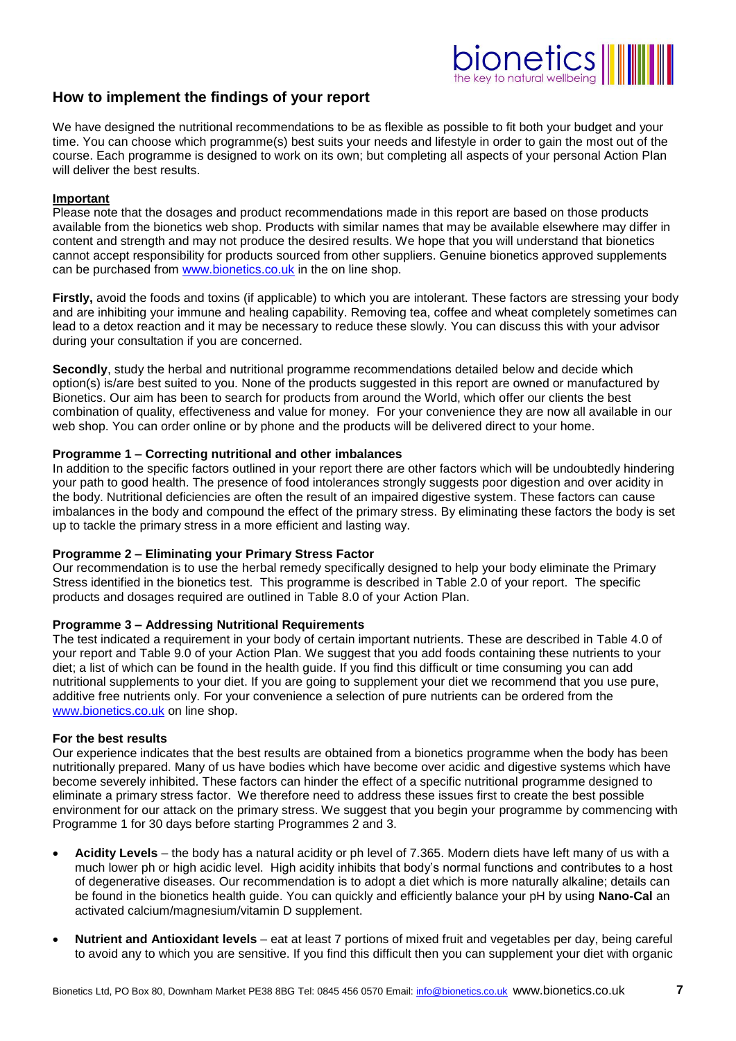# $\overline{\text{long}}$

# **How to implement the findings of your report**

We have designed the nutritional recommendations to be as flexible as possible to fit both your budget and your time. You can choose which programme(s) best suits your needs and lifestyle in order to gain the most out of the course. Each programme is designed to work on its own; but completing all aspects of your personal Action Plan will deliver the best results.

### **Important**

Please note that the dosages and product recommendations made in this report are based on those products available from the bionetics web shop. Products with similar names that may be available elsewhere may differ in content and strength and may not produce the desired results. We hope that you will understand that bionetics cannot accept responsibility for products sourced from other suppliers. Genuine bionetics approved supplements can be purchased from [www.bionetics.co.uk](http://www.bionetics.co.uk/) in the on line shop.

**Firstly,** avoid the foods and toxins (if applicable) to which you are intolerant. These factors are stressing your body and are inhibiting your immune and healing capability. Removing tea, coffee and wheat completely sometimes can lead to a detox reaction and it may be necessary to reduce these slowly. You can discuss this with your advisor during your consultation if you are concerned.

**Secondly**, study the herbal and nutritional programme recommendations detailed below and decide which option(s) is/are best suited to you. None of the products suggested in this report are owned or manufactured by Bionetics. Our aim has been to search for products from around the World, which offer our clients the best combination of quality, effectiveness and value for money. For your convenience they are now all available in our web shop. You can order online or by phone and the products will be delivered direct to your home.

#### **Programme 1 – Correcting nutritional and other imbalances**

In addition to the specific factors outlined in your report there are other factors which will be undoubtedly hindering your path to good health. The presence of food intolerances strongly suggests poor digestion and over acidity in the body. Nutritional deficiencies are often the result of an impaired digestive system. These factors can cause imbalances in the body and compound the effect of the primary stress. By eliminating these factors the body is set up to tackle the primary stress in a more efficient and lasting way.

### **Programme 2 – Eliminating your Primary Stress Factor**

Our recommendation is to use the herbal remedy specifically designed to help your body eliminate the Primary Stress identified in the bionetics test. This programme is described in Table 2.0 of your report. The specific products and dosages required are outlined in Table 8.0 of your Action Plan.

### **Programme 3 – Addressing Nutritional Requirements**

The test indicated a requirement in your body of certain important nutrients. These are described in Table 4.0 of your report and Table 9.0 of your Action Plan. We suggest that you add foods containing these nutrients to your diet; a list of which can be found in the health guide. If you find this difficult or time consuming you can add nutritional supplements to your diet. If you are going to supplement your diet we recommend that you use pure, additive free nutrients only. For your convenience a selection of pure nutrients can be ordered from the [www.bionetics.co.uk](http://www.bionetics.co.uk/) on line shop.

#### **For the best results**

Our experience indicates that the best results are obtained from a bionetics programme when the body has been nutritionally prepared. Many of us have bodies which have become over acidic and digestive systems which have become severely inhibited. These factors can hinder the effect of a specific nutritional programme designed to eliminate a primary stress factor. We therefore need to address these issues first to create the best possible environment for our attack on the primary stress. We suggest that you begin your programme by commencing with Programme 1 for 30 days before starting Programmes 2 and 3.

- **Acidity Levels** the body has a natural acidity or ph level of 7.365. Modern diets have left many of us with a much lower ph or high acidic level. High acidity inhibits that body's normal functions and contributes to a host of degenerative diseases. Our recommendation is to adopt a diet which is more naturally alkaline; details can be found in the bionetics health guide. You can quickly and efficiently balance your pH by using **Nano-Cal** an activated calcium/magnesium/vitamin D supplement.
- **Nutrient and Antioxidant levels** eat at least 7 portions of mixed fruit and vegetables per day, being careful to avoid any to which you are sensitive. If you find this difficult then you can supplement your diet with organic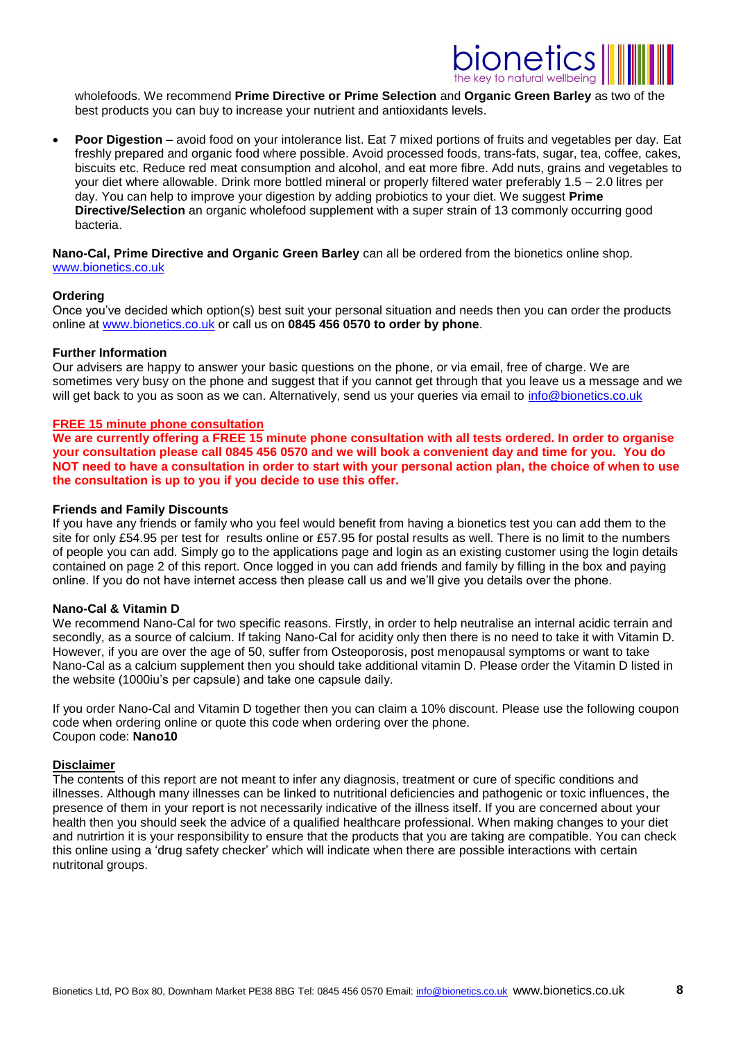

wholefoods. We recommend **Prime Directive or Prime Selection** and **Organic Green Barley** as two of the best products you can buy to increase your nutrient and antioxidants levels.

 **Poor Digestion** – avoid food on your intolerance list. Eat 7 mixed portions of fruits and vegetables per day. Eat freshly prepared and organic food where possible. Avoid processed foods, trans-fats, sugar, tea, coffee, cakes, biscuits etc. Reduce red meat consumption and alcohol, and eat more fibre. Add nuts, grains and vegetables to your diet where allowable. Drink more bottled mineral or properly filtered water preferably 1.5 – 2.0 litres per day. You can help to improve your digestion by adding probiotics to your diet. We suggest **Prime Directive/Selection** an organic wholefood supplement with a super strain of 13 commonly occurring good bacteria.

#### **Nano-Cal, Prime Directive and Organic Green Barley** can all be ordered from the bionetics online shop. [www.bionetics.co.uk](http://www.bionetics.co.uk/)

#### **Ordering**

Once you've decided which option(s) best suit your personal situation and needs then you can order the products online at [www.bionetics.co.uk](http://www.bionetics.co.uk/) or call us on **0845 456 0570 to order by phone**.

#### **Further Information**

Our advisers are happy to answer your basic questions on the phone, or via email, free of charge. We are sometimes very busy on the phone and suggest that if you cannot get through that you leave us a message and we will get back to you as soon as we can. Alternatively, send us your queries via email to [info@bionetics.co.uk](mailto:info@bionetics.co.uk)

#### **FREE 15 minute phone consultation**

**We are currently offering a FREE 15 minute phone consultation with all tests ordered. In order to organise your consultation please call 0845 456 0570 and we will book a convenient day and time for you. You do NOT need to have a consultation in order to start with your personal action plan, the choice of when to use the consultation is up to you if you decide to use this offer.** 

#### **Friends and Family Discounts**

If you have any friends or family who you feel would benefit from having a bionetics test you can add them to the site for only £54.95 per test for results online or £57.95 for postal results as well. There is no limit to the numbers of people you can add. Simply go to the applications page and login as an existing customer using the login details contained on page 2 of this report. Once logged in you can add friends and family by filling in the box and paying online. If you do not have internet access then please call us and we'll give you details over the phone.

#### **Nano-Cal & Vitamin D**

We recommend Nano-Cal for two specific reasons. Firstly, in order to help neutralise an internal acidic terrain and secondly, as a source of calcium. If taking Nano-Cal for acidity only then there is no need to take it with Vitamin D. However, if you are over the age of 50, suffer from Osteoporosis, post menopausal symptoms or want to take Nano-Cal as a calcium supplement then you should take additional vitamin D. Please order the Vitamin D listed in the website (1000iu's per capsule) and take one capsule daily.

If you order Nano-Cal and Vitamin D together then you can claim a 10% discount. Please use the following coupon code when ordering online or quote this code when ordering over the phone. Coupon code: **Nano10**

#### **Disclaimer**

The contents of this report are not meant to infer any diagnosis, treatment or cure of specific conditions and illnesses. Although many illnesses can be linked to nutritional deficiencies and pathogenic or toxic influences, the presence of them in your report is not necessarily indicative of the illness itself. If you are concerned about your health then you should seek the advice of a qualified healthcare professional. When making changes to your diet and nutrirtion it is your responsibility to ensure that the products that you are taking are compatible. You can check this online using a 'drug safety checker' which will indicate when there are possible interactions with certain nutritonal groups.